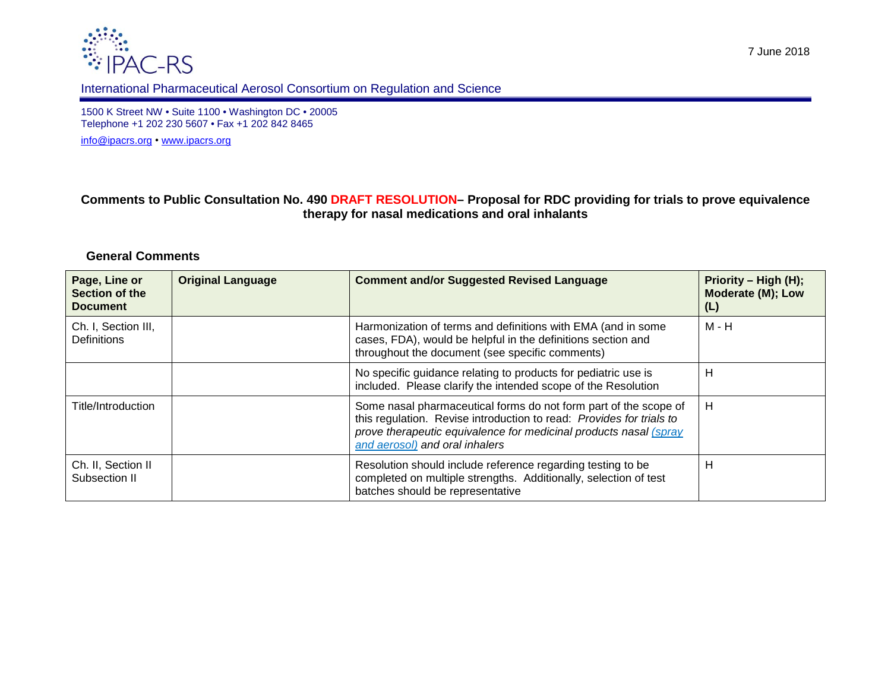



## International Pharmaceutical Aerosol Consortium on Regulation and Science

1500 K Street NW • Suite 1100 • Washington DC • 20005 Telephone +1 202 230 5607 • Fax +1 202 842 8465

[info@ipacrs.org](mailto:info@ipacrs.org) • [www.ipacrs.org](http://www.ipacrs.org/)

## **Comments to Public Consultation No. 490 DRAFT RESOLUTION– Proposal for RDC providing for trials to prove equivalence therapy for nasal medications and oral inhalants**

## **General Comments**

| Page, Line or<br>Section of the<br><b>Document</b> | <b>Original Language</b> | <b>Comment and/or Suggested Revised Language</b>                                                                                                                                                                                                | Priority – High (H);<br>Moderate (M); Low<br>(L) |
|----------------------------------------------------|--------------------------|-------------------------------------------------------------------------------------------------------------------------------------------------------------------------------------------------------------------------------------------------|--------------------------------------------------|
| Ch. I, Section III,<br><b>Definitions</b>          |                          | Harmonization of terms and definitions with EMA (and in some<br>cases, FDA), would be helpful in the definitions section and<br>throughout the document (see specific comments)                                                                 | M - H                                            |
|                                                    |                          | No specific guidance relating to products for pediatric use is<br>included. Please clarify the intended scope of the Resolution                                                                                                                 | Н                                                |
| Title/Introduction                                 |                          | Some nasal pharmaceutical forms do not form part of the scope of<br>this regulation. Revise introduction to read: Provides for trials to<br>prove therapeutic equivalence for medicinal products nasal (spray<br>and aerosol) and oral inhalers | H                                                |
| Ch. II, Section II<br>Subsection II                |                          | Resolution should include reference regarding testing to be<br>completed on multiple strengths. Additionally, selection of test<br>batches should be representative                                                                             | Н                                                |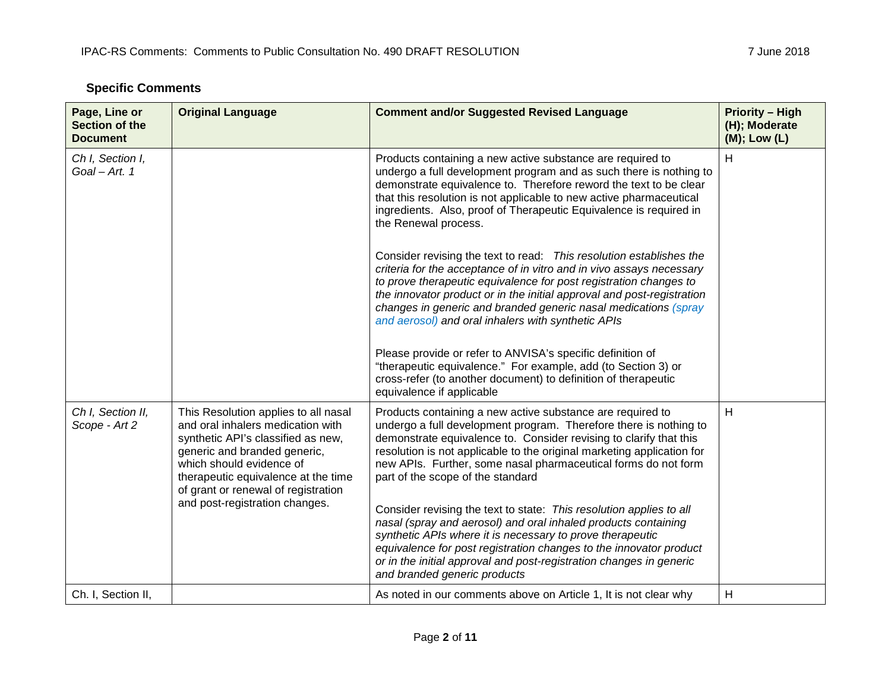|  | <b>Specific Comments</b> |
|--|--------------------------|
|--|--------------------------|

| Page, Line or<br><b>Section of the</b><br><b>Document</b> | <b>Original Language</b>                                                                                                                                                                                                                                                                    | <b>Comment and/or Suggested Revised Language</b>                                                                                                                                                                                                                                                                                                                                                                    | <b>Priority - High</b><br>(H); Moderate<br>(M); Low (L) |
|-----------------------------------------------------------|---------------------------------------------------------------------------------------------------------------------------------------------------------------------------------------------------------------------------------------------------------------------------------------------|---------------------------------------------------------------------------------------------------------------------------------------------------------------------------------------------------------------------------------------------------------------------------------------------------------------------------------------------------------------------------------------------------------------------|---------------------------------------------------------|
| Ch I, Section I,<br>Goal - Art. 1                         |                                                                                                                                                                                                                                                                                             | Products containing a new active substance are required to<br>undergo a full development program and as such there is nothing to<br>demonstrate equivalence to. Therefore reword the text to be clear<br>that this resolution is not applicable to new active pharmaceutical<br>ingredients. Also, proof of Therapeutic Equivalence is required in<br>the Renewal process.                                          | H                                                       |
|                                                           |                                                                                                                                                                                                                                                                                             | Consider revising the text to read: This resolution establishes the<br>criteria for the acceptance of in vitro and in vivo assays necessary<br>to prove therapeutic equivalence for post registration changes to<br>the innovator product or in the initial approval and post-registration<br>changes in generic and branded generic nasal medications (spray<br>and aerosol) and oral inhalers with synthetic APIs |                                                         |
|                                                           |                                                                                                                                                                                                                                                                                             | Please provide or refer to ANVISA's specific definition of<br>"therapeutic equivalence." For example, add (to Section 3) or<br>cross-refer (to another document) to definition of therapeutic<br>equivalence if applicable                                                                                                                                                                                          |                                                         |
| Ch I, Section II,<br>Scope - Art 2                        | This Resolution applies to all nasal<br>and oral inhalers medication with<br>synthetic API's classified as new,<br>generic and branded generic,<br>which should evidence of<br>therapeutic equivalence at the time<br>of grant or renewal of registration<br>and post-registration changes. | Products containing a new active substance are required to<br>undergo a full development program. Therefore there is nothing to<br>demonstrate equivalence to. Consider revising to clarify that this<br>resolution is not applicable to the original marketing application for<br>new APIs. Further, some nasal pharmaceutical forms do not form<br>part of the scope of the standard                              | H                                                       |
|                                                           |                                                                                                                                                                                                                                                                                             | Consider revising the text to state: This resolution applies to all<br>nasal (spray and aerosol) and oral inhaled products containing<br>synthetic APIs where it is necessary to prove therapeutic<br>equivalence for post registration changes to the innovator product<br>or in the initial approval and post-registration changes in generic<br>and branded generic products                                     |                                                         |
| Ch. I, Section II,                                        |                                                                                                                                                                                                                                                                                             | As noted in our comments above on Article 1, It is not clear why                                                                                                                                                                                                                                                                                                                                                    | Н                                                       |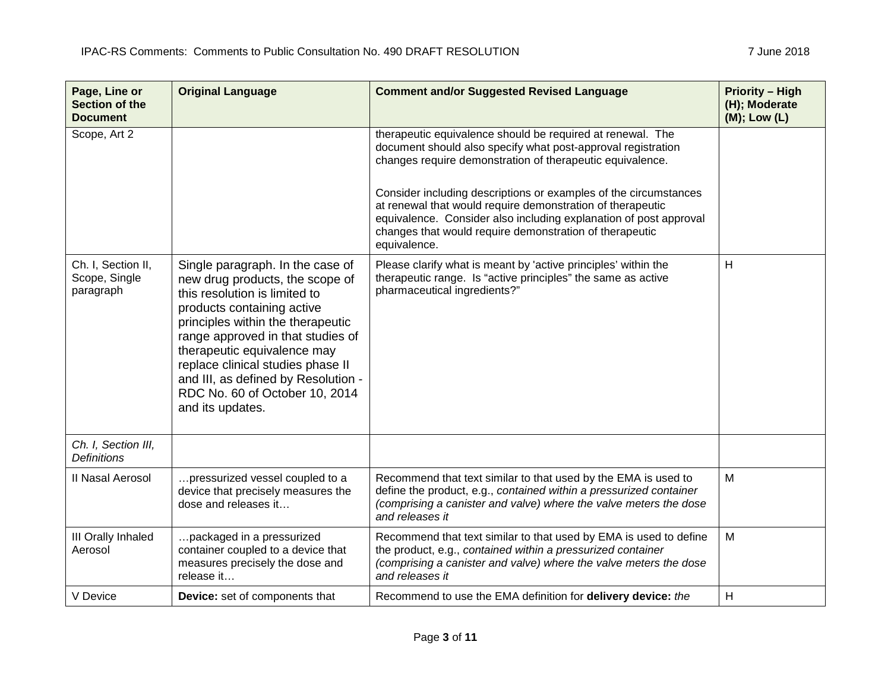| Page, Line or<br><b>Section of the</b><br><b>Document</b> | <b>Original Language</b>                                                                                                                                                                                                                                                                                                                                                      | <b>Comment and/or Suggested Revised Language</b>                                                                                                                                                                                                                               | <b>Priority - High</b><br>(H); Moderate<br>(M); Low (L) |
|-----------------------------------------------------------|-------------------------------------------------------------------------------------------------------------------------------------------------------------------------------------------------------------------------------------------------------------------------------------------------------------------------------------------------------------------------------|--------------------------------------------------------------------------------------------------------------------------------------------------------------------------------------------------------------------------------------------------------------------------------|---------------------------------------------------------|
| Scope, Art 2                                              |                                                                                                                                                                                                                                                                                                                                                                               | therapeutic equivalence should be required at renewal. The<br>document should also specify what post-approval registration<br>changes require demonstration of therapeutic equivalence.                                                                                        |                                                         |
|                                                           |                                                                                                                                                                                                                                                                                                                                                                               | Consider including descriptions or examples of the circumstances<br>at renewal that would require demonstration of therapeutic<br>equivalence. Consider also including explanation of post approval<br>changes that would require demonstration of therapeutic<br>equivalence. |                                                         |
| Ch. I, Section II,<br>Scope, Single<br>paragraph          | Single paragraph. In the case of<br>new drug products, the scope of<br>this resolution is limited to<br>products containing active<br>principles within the therapeutic<br>range approved in that studies of<br>therapeutic equivalence may<br>replace clinical studies phase II<br>and III, as defined by Resolution -<br>RDC No. 60 of October 10, 2014<br>and its updates. | Please clarify what is meant by 'active principles' within the<br>therapeutic range. Is "active principles" the same as active<br>pharmaceutical ingredients?"                                                                                                                 | H                                                       |
| Ch. I, Section III,<br><b>Definitions</b>                 |                                                                                                                                                                                                                                                                                                                                                                               |                                                                                                                                                                                                                                                                                |                                                         |
| II Nasal Aerosol                                          | pressurized vessel coupled to a<br>device that precisely measures the<br>dose and releases it                                                                                                                                                                                                                                                                                 | Recommend that text similar to that used by the EMA is used to<br>define the product, e.g., contained within a pressurized container<br>(comprising a canister and valve) where the valve meters the dose<br>and releases it                                                   | M                                                       |
| III Orally Inhaled<br>Aerosol                             | packaged in a pressurized<br>container coupled to a device that<br>measures precisely the dose and<br>release it                                                                                                                                                                                                                                                              | Recommend that text similar to that used by EMA is used to define<br>the product, e.g., contained within a pressurized container<br>(comprising a canister and valve) where the valve meters the dose<br>and releases it                                                       | M                                                       |
| V Device                                                  | <b>Device:</b> set of components that                                                                                                                                                                                                                                                                                                                                         | Recommend to use the EMA definition for delivery device: the                                                                                                                                                                                                                   | H                                                       |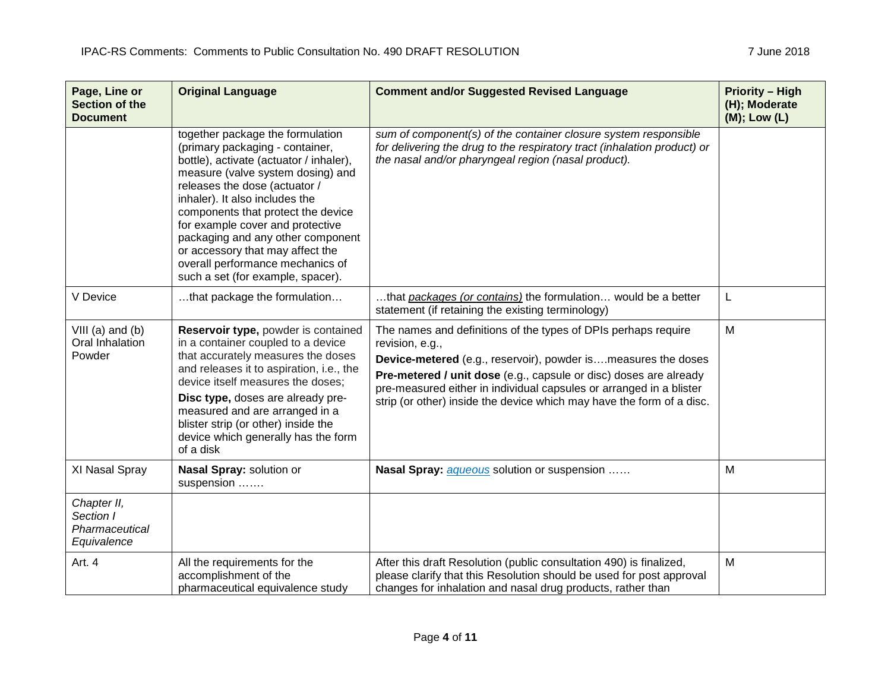| Page, Line or<br>Section of the<br><b>Document</b>        | <b>Original Language</b>                                                                                                                                                                                                                                                                                                                                                                                                                           | <b>Comment and/or Suggested Revised Language</b>                                                                                                                                                                                                                                                                                                                        | <b>Priority – High</b><br>(H); Moderate<br>$(M)$ ; Low $(L)$ |
|-----------------------------------------------------------|----------------------------------------------------------------------------------------------------------------------------------------------------------------------------------------------------------------------------------------------------------------------------------------------------------------------------------------------------------------------------------------------------------------------------------------------------|-------------------------------------------------------------------------------------------------------------------------------------------------------------------------------------------------------------------------------------------------------------------------------------------------------------------------------------------------------------------------|--------------------------------------------------------------|
|                                                           | together package the formulation<br>(primary packaging - container,<br>bottle), activate (actuator / inhaler),<br>measure (valve system dosing) and<br>releases the dose (actuator /<br>inhaler). It also includes the<br>components that protect the device<br>for example cover and protective<br>packaging and any other component<br>or accessory that may affect the<br>overall performance mechanics of<br>such a set (for example, spacer). | sum of component(s) of the container closure system responsible<br>for delivering the drug to the respiratory tract (inhalation product) or<br>the nasal and/or pharyngeal region (nasal product).                                                                                                                                                                      |                                                              |
| V Device                                                  | that package the formulation                                                                                                                                                                                                                                                                                                                                                                                                                       | that packages (or contains) the formulation would be a better<br>statement (if retaining the existing terminology)                                                                                                                                                                                                                                                      | L                                                            |
| $VIII$ (a) and (b)<br>Oral Inhalation<br>Powder           | Reservoir type, powder is contained<br>in a container coupled to a device<br>that accurately measures the doses<br>and releases it to aspiration, i.e., the<br>device itself measures the doses;<br>Disc type, doses are already pre-<br>measured and are arranged in a<br>blister strip (or other) inside the<br>device which generally has the form<br>of a disk                                                                                 | The names and definitions of the types of DPIs perhaps require<br>revision, e.g.,<br>Device-metered (e.g., reservoir), powder ismeasures the doses<br>Pre-metered / unit dose (e.g., capsule or disc) doses are already<br>pre-measured either in individual capsules or arranged in a blister<br>strip (or other) inside the device which may have the form of a disc. | M                                                            |
| XI Nasal Spray                                            | Nasal Spray: solution or<br>suspension                                                                                                                                                                                                                                                                                                                                                                                                             | Nasal Spray: <i>aqueous</i> solution or suspension                                                                                                                                                                                                                                                                                                                      | M                                                            |
| Chapter II,<br>Section I<br>Pharmaceutical<br>Equivalence |                                                                                                                                                                                                                                                                                                                                                                                                                                                    |                                                                                                                                                                                                                                                                                                                                                                         |                                                              |
| Art. 4                                                    | All the requirements for the<br>accomplishment of the<br>pharmaceutical equivalence study                                                                                                                                                                                                                                                                                                                                                          | After this draft Resolution (public consultation 490) is finalized,<br>please clarify that this Resolution should be used for post approval<br>changes for inhalation and nasal drug products, rather than                                                                                                                                                              | M                                                            |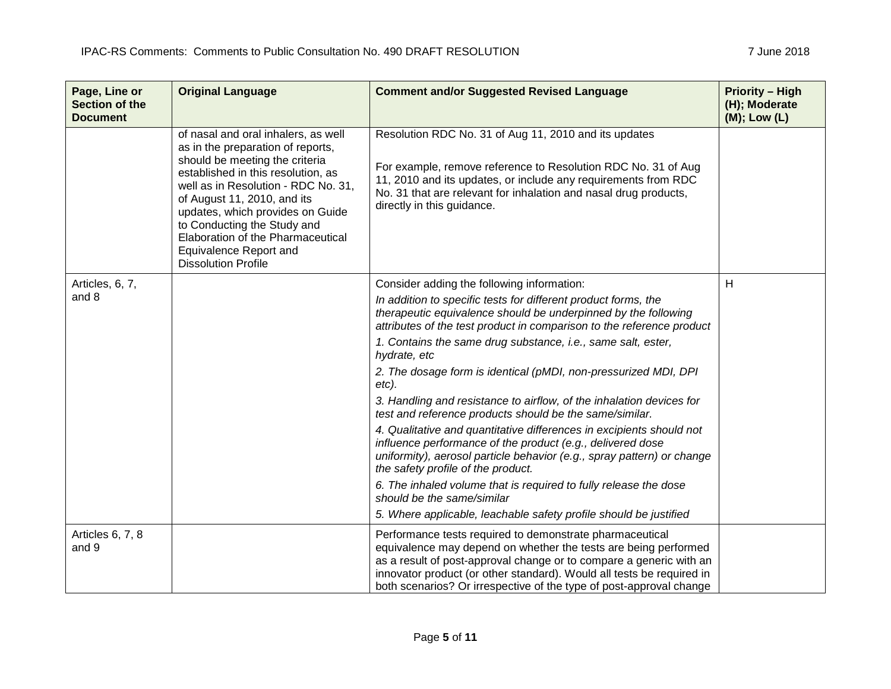| Page, Line or<br><b>Section of the</b><br><b>Document</b> | <b>Original Language</b>                                                                                                                                                                                                                                                                                                                                                               | <b>Comment and/or Suggested Revised Language</b>                                                                                                                                                                                                                                                                                                   | <b>Priority - High</b><br>(H); Moderate<br>$(M)$ ; Low $(L)$ |
|-----------------------------------------------------------|----------------------------------------------------------------------------------------------------------------------------------------------------------------------------------------------------------------------------------------------------------------------------------------------------------------------------------------------------------------------------------------|----------------------------------------------------------------------------------------------------------------------------------------------------------------------------------------------------------------------------------------------------------------------------------------------------------------------------------------------------|--------------------------------------------------------------|
|                                                           | of nasal and oral inhalers, as well<br>as in the preparation of reports,<br>should be meeting the criteria<br>established in this resolution, as<br>well as in Resolution - RDC No. 31,<br>of August 11, 2010, and its<br>updates, which provides on Guide<br>to Conducting the Study and<br>Elaboration of the Pharmaceutical<br>Equivalence Report and<br><b>Dissolution Profile</b> | Resolution RDC No. 31 of Aug 11, 2010 and its updates<br>For example, remove reference to Resolution RDC No. 31 of Aug<br>11, 2010 and its updates, or include any requirements from RDC<br>No. 31 that are relevant for inhalation and nasal drug products,<br>directly in this guidance.                                                         |                                                              |
| Articles, 6, 7,<br>and 8                                  |                                                                                                                                                                                                                                                                                                                                                                                        | Consider adding the following information:<br>In addition to specific tests for different product forms, the<br>therapeutic equivalence should be underpinned by the following<br>attributes of the test product in comparison to the reference product<br>1. Contains the same drug substance, i.e., same salt, ester,<br>hydrate, etc            | H                                                            |
|                                                           |                                                                                                                                                                                                                                                                                                                                                                                        | 2. The dosage form is identical (pMDI, non-pressurized MDI, DPI<br>etc).<br>3. Handling and resistance to airflow, of the inhalation devices for<br>test and reference products should be the same/similar.                                                                                                                                        |                                                              |
|                                                           |                                                                                                                                                                                                                                                                                                                                                                                        | 4. Qualitative and quantitative differences in excipients should not<br>influence performance of the product (e.g., delivered dose<br>uniformity), aerosol particle behavior (e.g., spray pattern) or change<br>the safety profile of the product.                                                                                                 |                                                              |
|                                                           |                                                                                                                                                                                                                                                                                                                                                                                        | 6. The inhaled volume that is required to fully release the dose<br>should be the same/similar<br>5. Where applicable, leachable safety profile should be justified                                                                                                                                                                                |                                                              |
| Articles 6, 7, 8<br>and 9                                 |                                                                                                                                                                                                                                                                                                                                                                                        | Performance tests required to demonstrate pharmaceutical<br>equivalence may depend on whether the tests are being performed<br>as a result of post-approval change or to compare a generic with an<br>innovator product (or other standard). Would all tests be required in<br>both scenarios? Or irrespective of the type of post-approval change |                                                              |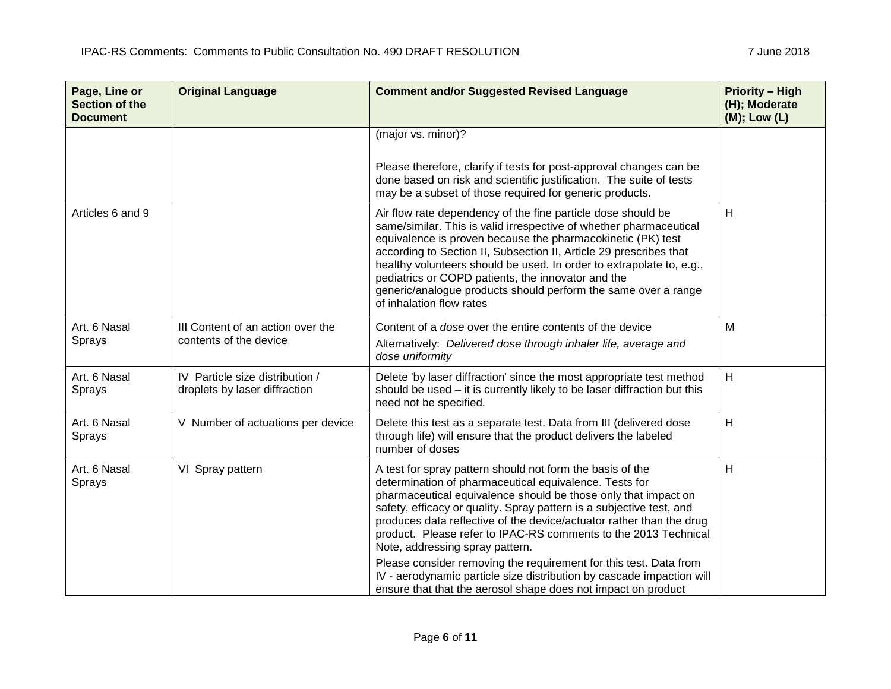| Page, Line or<br>Section of the<br><b>Document</b> | <b>Original Language</b>                                         | <b>Comment and/or Suggested Revised Language</b>                                                                                                                                                                                                                                                                                                                                                                                                                                                                                                                                                                                                           | <b>Priority - High</b><br>(H); Moderate<br>(M); Low (L) |
|----------------------------------------------------|------------------------------------------------------------------|------------------------------------------------------------------------------------------------------------------------------------------------------------------------------------------------------------------------------------------------------------------------------------------------------------------------------------------------------------------------------------------------------------------------------------------------------------------------------------------------------------------------------------------------------------------------------------------------------------------------------------------------------------|---------------------------------------------------------|
|                                                    |                                                                  | (major vs. minor)?<br>Please therefore, clarify if tests for post-approval changes can be<br>done based on risk and scientific justification. The suite of tests<br>may be a subset of those required for generic products.                                                                                                                                                                                                                                                                                                                                                                                                                                |                                                         |
| Articles 6 and 9                                   |                                                                  | Air flow rate dependency of the fine particle dose should be<br>same/similar. This is valid irrespective of whether pharmaceutical<br>equivalence is proven because the pharmacokinetic (PK) test<br>according to Section II, Subsection II, Article 29 prescribes that<br>healthy volunteers should be used. In order to extrapolate to, e.g.,<br>pediatrics or COPD patients, the innovator and the<br>generic/analogue products should perform the same over a range<br>of inhalation flow rates                                                                                                                                                        | H                                                       |
| Art. 6 Nasal<br>Sprays                             | III Content of an action over the<br>contents of the device      | Content of a dose over the entire contents of the device<br>Alternatively: Delivered dose through inhaler life, average and<br>dose uniformity                                                                                                                                                                                                                                                                                                                                                                                                                                                                                                             | M                                                       |
| Art. 6 Nasal<br>Sprays                             | IV Particle size distribution /<br>droplets by laser diffraction | Delete 'by laser diffraction' since the most appropriate test method<br>should be used $-$ it is currently likely to be laser diffraction but this<br>need not be specified.                                                                                                                                                                                                                                                                                                                                                                                                                                                                               | H                                                       |
| Art. 6 Nasal<br>Sprays                             | V Number of actuations per device                                | Delete this test as a separate test. Data from III (delivered dose<br>through life) will ensure that the product delivers the labeled<br>number of doses                                                                                                                                                                                                                                                                                                                                                                                                                                                                                                   | H                                                       |
| Art. 6 Nasal<br>Sprays                             | VI Spray pattern                                                 | A test for spray pattern should not form the basis of the<br>determination of pharmaceutical equivalence. Tests for<br>pharmaceutical equivalence should be those only that impact on<br>safety, efficacy or quality. Spray pattern is a subjective test, and<br>produces data reflective of the device/actuator rather than the drug<br>product. Please refer to IPAC-RS comments to the 2013 Technical<br>Note, addressing spray pattern.<br>Please consider removing the requirement for this test. Data from<br>IV - aerodynamic particle size distribution by cascade impaction will<br>ensure that that the aerosol shape does not impact on product | H                                                       |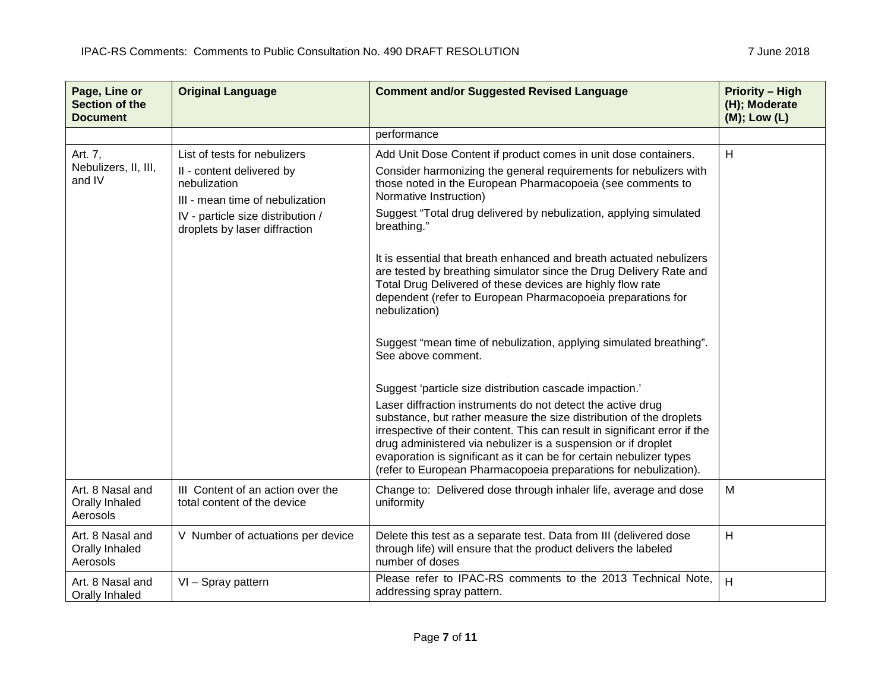| Page, Line or<br><b>Section of the</b><br><b>Document</b> | <b>Original Language</b>                                                                                                                                                           | <b>Comment and/or Suggested Revised Language</b>                                                                                                                                                                                                                                                                                                                                                                                                                                                                                                                                                                                                                                                                                                                                                                                                                                                                                                                                                                                                                                                                                                                                                   | <b>Priority - High</b><br>(H); Moderate<br>$(M);$ Low $(L)$ |
|-----------------------------------------------------------|------------------------------------------------------------------------------------------------------------------------------------------------------------------------------------|----------------------------------------------------------------------------------------------------------------------------------------------------------------------------------------------------------------------------------------------------------------------------------------------------------------------------------------------------------------------------------------------------------------------------------------------------------------------------------------------------------------------------------------------------------------------------------------------------------------------------------------------------------------------------------------------------------------------------------------------------------------------------------------------------------------------------------------------------------------------------------------------------------------------------------------------------------------------------------------------------------------------------------------------------------------------------------------------------------------------------------------------------------------------------------------------------|-------------------------------------------------------------|
|                                                           |                                                                                                                                                                                    | performance                                                                                                                                                                                                                                                                                                                                                                                                                                                                                                                                                                                                                                                                                                                                                                                                                                                                                                                                                                                                                                                                                                                                                                                        |                                                             |
| Art. 7,<br>Nebulizers, II, III,<br>and IV                 | List of tests for nebulizers<br>II - content delivered by<br>nebulization<br>III - mean time of nebulization<br>IV - particle size distribution /<br>droplets by laser diffraction | Add Unit Dose Content if product comes in unit dose containers.<br>Consider harmonizing the general requirements for nebulizers with<br>those noted in the European Pharmacopoeia (see comments to<br>Normative Instruction)<br>Suggest "Total drug delivered by nebulization, applying simulated<br>breathing."<br>It is essential that breath enhanced and breath actuated nebulizers<br>are tested by breathing simulator since the Drug Delivery Rate and<br>Total Drug Delivered of these devices are highly flow rate<br>dependent (refer to European Pharmacopoeia preparations for<br>nebulization)<br>Suggest "mean time of nebulization, applying simulated breathing".<br>See above comment.<br>Suggest 'particle size distribution cascade impaction.'<br>Laser diffraction instruments do not detect the active drug<br>substance, but rather measure the size distribution of the droplets<br>irrespective of their content. This can result in significant error if the<br>drug administered via nebulizer is a suspension or if droplet<br>evaporation is significant as it can be for certain nebulizer types<br>(refer to European Pharmacopoeia preparations for nebulization). | H                                                           |
| Art. 8 Nasal and<br>Orally Inhaled<br>Aerosols            | III Content of an action over the<br>total content of the device                                                                                                                   | Change to: Delivered dose through inhaler life, average and dose<br>uniformity                                                                                                                                                                                                                                                                                                                                                                                                                                                                                                                                                                                                                                                                                                                                                                                                                                                                                                                                                                                                                                                                                                                     | M                                                           |
| Art. 8 Nasal and<br>Orally Inhaled<br>Aerosols            | V Number of actuations per device                                                                                                                                                  | Delete this test as a separate test. Data from III (delivered dose<br>through life) will ensure that the product delivers the labeled<br>number of doses                                                                                                                                                                                                                                                                                                                                                                                                                                                                                                                                                                                                                                                                                                                                                                                                                                                                                                                                                                                                                                           | H                                                           |
| Art. 8 Nasal and<br>Orally Inhaled                        | VI - Spray pattern                                                                                                                                                                 | Please refer to IPAC-RS comments to the 2013 Technical Note,<br>addressing spray pattern.                                                                                                                                                                                                                                                                                                                                                                                                                                                                                                                                                                                                                                                                                                                                                                                                                                                                                                                                                                                                                                                                                                          | H                                                           |

 $\sim 100$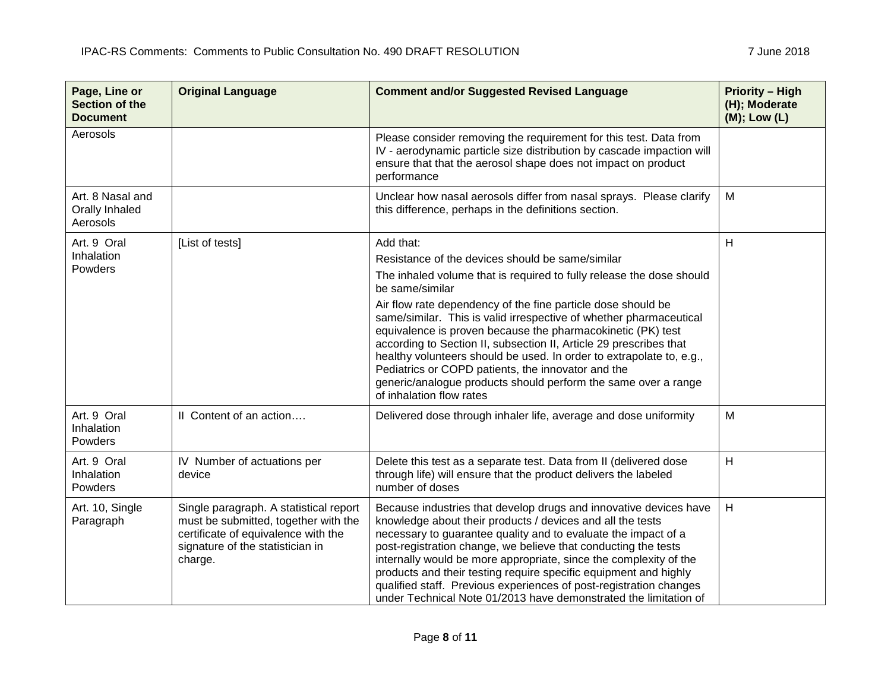| Page, Line or<br>Section of the<br><b>Document</b> | <b>Original Language</b>                                                                                                                                             | <b>Comment and/or Suggested Revised Language</b>                                                                                                                                                                                                                                                                                                                                                                                                                                                                                                                                                                                                                | <b>Priority - High</b><br>(H); Moderate<br>(M); Low (L) |
|----------------------------------------------------|----------------------------------------------------------------------------------------------------------------------------------------------------------------------|-----------------------------------------------------------------------------------------------------------------------------------------------------------------------------------------------------------------------------------------------------------------------------------------------------------------------------------------------------------------------------------------------------------------------------------------------------------------------------------------------------------------------------------------------------------------------------------------------------------------------------------------------------------------|---------------------------------------------------------|
| Aerosols                                           |                                                                                                                                                                      | Please consider removing the requirement for this test. Data from<br>IV - aerodynamic particle size distribution by cascade impaction will<br>ensure that that the aerosol shape does not impact on product<br>performance                                                                                                                                                                                                                                                                                                                                                                                                                                      |                                                         |
| Art. 8 Nasal and<br>Orally Inhaled<br>Aerosols     |                                                                                                                                                                      | Unclear how nasal aerosols differ from nasal sprays. Please clarify<br>this difference, perhaps in the definitions section.                                                                                                                                                                                                                                                                                                                                                                                                                                                                                                                                     | M                                                       |
| Art. 9 Oral<br>Inhalation<br>Powders               | [List of tests]                                                                                                                                                      | Add that:<br>Resistance of the devices should be same/similar<br>The inhaled volume that is required to fully release the dose should<br>be same/similar<br>Air flow rate dependency of the fine particle dose should be<br>same/similar. This is valid irrespective of whether pharmaceutical<br>equivalence is proven because the pharmacokinetic (PK) test<br>according to Section II, subsection II, Article 29 prescribes that<br>healthy volunteers should be used. In order to extrapolate to, e.g.,<br>Pediatrics or COPD patients, the innovator and the<br>generic/analogue products should perform the same over a range<br>of inhalation flow rates | Н                                                       |
| Art. 9 Oral<br>Inhalation<br>Powders               | Il Content of an action                                                                                                                                              | Delivered dose through inhaler life, average and dose uniformity                                                                                                                                                                                                                                                                                                                                                                                                                                                                                                                                                                                                | M                                                       |
| Art. 9 Oral<br>Inhalation<br>Powders               | IV Number of actuations per<br>device                                                                                                                                | Delete this test as a separate test. Data from II (delivered dose<br>through life) will ensure that the product delivers the labeled<br>number of doses                                                                                                                                                                                                                                                                                                                                                                                                                                                                                                         | H                                                       |
| Art. 10, Single<br>Paragraph                       | Single paragraph. A statistical report<br>must be submitted, together with the<br>certificate of equivalence with the<br>signature of the statistician in<br>charge. | Because industries that develop drugs and innovative devices have<br>knowledge about their products / devices and all the tests<br>necessary to guarantee quality and to evaluate the impact of a<br>post-registration change, we believe that conducting the tests<br>internally would be more appropriate, since the complexity of the<br>products and their testing require specific equipment and highly<br>qualified staff. Previous experiences of post-registration changes<br>under Technical Note 01/2013 have demonstrated the limitation of                                                                                                          | H                                                       |

<u> 1989 - Johann Stein, marwolaethau a bhann an t-Amhair Aonaichte an t-Amhair Aonaichte an t-Amhair Aonaichte a</u>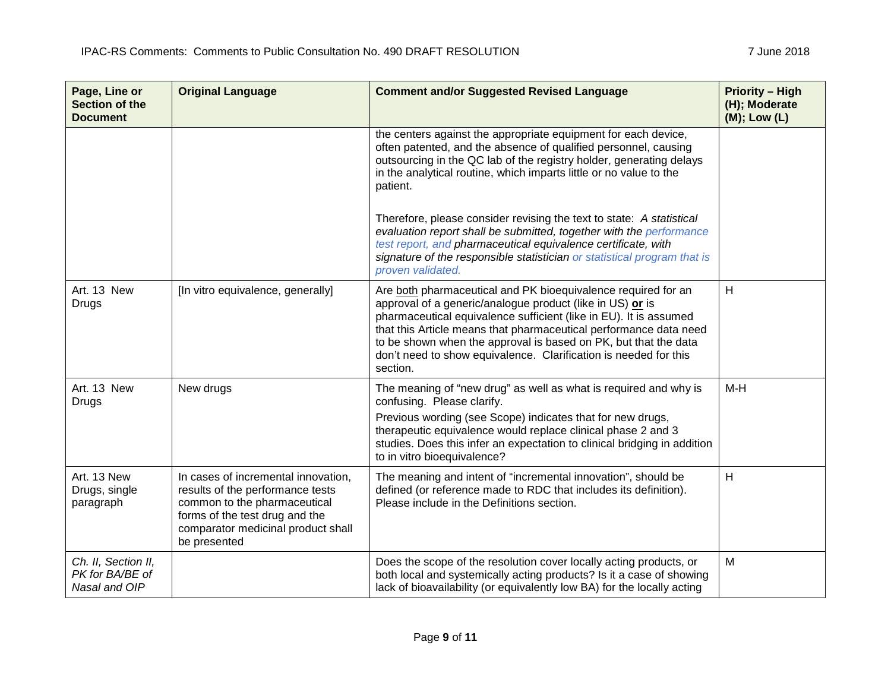| Page, Line or<br><b>Section of the</b><br><b>Document</b> | <b>Original Language</b>                                                                                                                                                                        | <b>Comment and/or Suggested Revised Language</b>                                                                                                                                                                                                                                                                                                                                                                        | <b>Priority - High</b><br>(H); Moderate<br>(M); Low (L) |
|-----------------------------------------------------------|-------------------------------------------------------------------------------------------------------------------------------------------------------------------------------------------------|-------------------------------------------------------------------------------------------------------------------------------------------------------------------------------------------------------------------------------------------------------------------------------------------------------------------------------------------------------------------------------------------------------------------------|---------------------------------------------------------|
|                                                           |                                                                                                                                                                                                 | the centers against the appropriate equipment for each device,<br>often patented, and the absence of qualified personnel, causing<br>outsourcing in the QC lab of the registry holder, generating delays<br>in the analytical routine, which imparts little or no value to the<br>patient.                                                                                                                              |                                                         |
|                                                           |                                                                                                                                                                                                 | Therefore, please consider revising the text to state: A statistical<br>evaluation report shall be submitted, together with the performance<br>test report, and pharmaceutical equivalence certificate, with<br>signature of the responsible statistician or statistical program that is<br>proven validated.                                                                                                           |                                                         |
| Art. 13 New<br><b>Drugs</b>                               | [In vitro equivalence, generally]                                                                                                                                                               | Are both pharmaceutical and PK bioequivalence required for an<br>approval of a generic/analogue product (like in US) or is<br>pharmaceutical equivalence sufficient (like in EU). It is assumed<br>that this Article means that pharmaceutical performance data need<br>to be shown when the approval is based on PK, but that the data<br>don't need to show equivalence. Clarification is needed for this<br>section. | H                                                       |
| Art. 13 New<br>Drugs                                      | New drugs                                                                                                                                                                                       | The meaning of "new drug" as well as what is required and why is<br>confusing. Please clarify.<br>Previous wording (see Scope) indicates that for new drugs,<br>therapeutic equivalence would replace clinical phase 2 and 3<br>studies. Does this infer an expectation to clinical bridging in addition<br>to in vitro bioequivalence?                                                                                 | M-H                                                     |
| Art. 13 New<br>Drugs, single<br>paragraph                 | In cases of incremental innovation,<br>results of the performance tests<br>common to the pharmaceutical<br>forms of the test drug and the<br>comparator medicinal product shall<br>be presented | The meaning and intent of "incremental innovation", should be<br>defined (or reference made to RDC that includes its definition).<br>Please include in the Definitions section.                                                                                                                                                                                                                                         | H                                                       |
| Ch. II, Section II,<br>PK for BA/BE of<br>Nasal and OIP   |                                                                                                                                                                                                 | Does the scope of the resolution cover locally acting products, or<br>both local and systemically acting products? Is it a case of showing<br>lack of bioavailability (or equivalently low BA) for the locally acting                                                                                                                                                                                                   | M                                                       |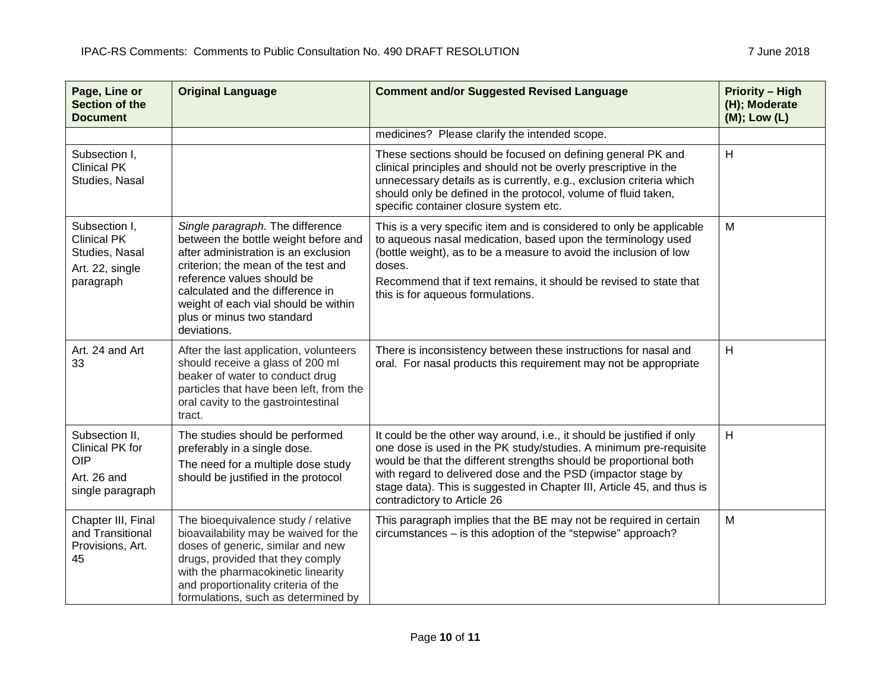| Page, Line or<br><b>Section of the</b><br><b>Document</b>                             | <b>Original Language</b>                                                                                                                                                                                                                                                                                       | <b>Comment and/or Suggested Revised Language</b>                                                                                                                                                                                                                                                                                                                                          | <b>Priority - High</b><br>(H); Moderate<br>(M); Low (L) |
|---------------------------------------------------------------------------------------|----------------------------------------------------------------------------------------------------------------------------------------------------------------------------------------------------------------------------------------------------------------------------------------------------------------|-------------------------------------------------------------------------------------------------------------------------------------------------------------------------------------------------------------------------------------------------------------------------------------------------------------------------------------------------------------------------------------------|---------------------------------------------------------|
|                                                                                       |                                                                                                                                                                                                                                                                                                                | medicines? Please clarify the intended scope.                                                                                                                                                                                                                                                                                                                                             |                                                         |
| Subsection I,<br><b>Clinical PK</b><br>Studies, Nasal                                 |                                                                                                                                                                                                                                                                                                                | These sections should be focused on defining general PK and<br>clinical principles and should not be overly prescriptive in the<br>unnecessary details as is currently, e.g., exclusion criteria which<br>should only be defined in the protocol, volume of fluid taken,<br>specific container closure system etc.                                                                        | H                                                       |
| Subsection I,<br><b>Clinical PK</b><br>Studies, Nasal<br>Art. 22, single<br>paragraph | Single paragraph. The difference<br>between the bottle weight before and<br>after administration is an exclusion<br>criterion; the mean of the test and<br>reference values should be<br>calculated and the difference in<br>weight of each vial should be within<br>plus or minus two standard<br>deviations. | This is a very specific item and is considered to only be applicable<br>to aqueous nasal medication, based upon the terminology used<br>(bottle weight), as to be a measure to avoid the inclusion of low<br>doses.<br>Recommend that if text remains, it should be revised to state that<br>this is for aqueous formulations.                                                            | M                                                       |
| Art. 24 and Art<br>33                                                                 | After the last application, volunteers<br>should receive a glass of 200 ml<br>beaker of water to conduct drug<br>particles that have been left, from the<br>oral cavity to the gastrointestinal<br>tract.                                                                                                      | There is inconsistency between these instructions for nasal and<br>oral. For nasal products this requirement may not be appropriate                                                                                                                                                                                                                                                       | H                                                       |
| Subsection II,<br>Clinical PK for<br><b>OIP</b><br>Art. 26 and<br>single paragraph    | The studies should be performed<br>preferably in a single dose.<br>The need for a multiple dose study<br>should be justified in the protocol                                                                                                                                                                   | It could be the other way around, i.e., it should be justified if only<br>one dose is used in the PK study/studies. A minimum pre-requisite<br>would be that the different strengths should be proportional both<br>with regard to delivered dose and the PSD (impactor stage by<br>stage data). This is suggested in Chapter III, Article 45, and thus is<br>contradictory to Article 26 | H                                                       |
| Chapter III, Final<br>and Transitional<br>Provisions, Art.<br>45                      | The bioequivalence study / relative<br>bioavailability may be waived for the<br>doses of generic, similar and new<br>drugs, provided that they comply<br>with the pharmacokinetic linearity<br>and proportionality criteria of the<br>formulations, such as determined by                                      | This paragraph implies that the BE may not be required in certain<br>circumstances - is this adoption of the "stepwise" approach?                                                                                                                                                                                                                                                         | M                                                       |